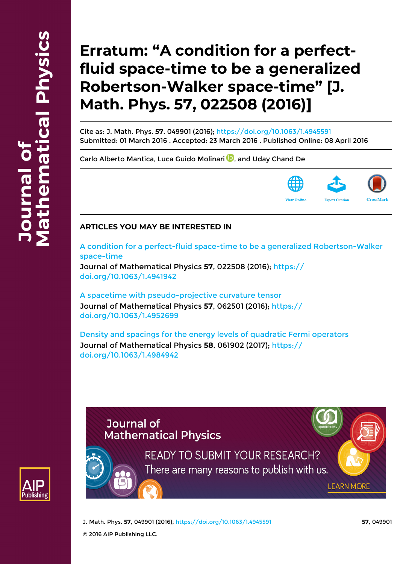## **Erratum: "A condition for a perfectfluid space-time to be a generalized Robertson-Walker space-time" [J. Math. Phys. 57, 022508 (2016)]**

Cite as: J. Math. Phys. **57**, 049901 (2016);<https://doi.org/10.1063/1.4945591> Submitted: 01 March 2016 . Accepted: 23 March 2016 . Published Online: 08 April 2016

[Carlo Alberto Mantica](https://aip.scitation.org/author/Mantica%2C+Carlo+Alberto), [Luca Guido Molinari](https://aip.scitation.org/author/Molinari%2C+Luca+Guido) **D**[,](http://orcid.org/0000-0002-5023-787X) and [Uday Chand De](https://aip.scitation.org/author/de%2C+Uday+Chand)



## **ARTICLES YOU MAY BE INTERESTED IN**

[A condition for a perfect-fluid space-time to be a generalized Robertson-Walker](https://aip.scitation.org/doi/10.1063/1.4941942) [space-time](https://aip.scitation.org/doi/10.1063/1.4941942)

Journal of Mathematical Physics **57**, 022508 (2016); [https://](https://doi.org/10.1063/1.4941942) [doi.org/10.1063/1.4941942](https://doi.org/10.1063/1.4941942)

[A spacetime with pseudo-projective curvature tensor](https://aip.scitation.org/doi/10.1063/1.4952699) Journal of Mathematical Physics **57**, 062501 (2016); [https://](https://doi.org/10.1063/1.4952699) [doi.org/10.1063/1.4952699](https://doi.org/10.1063/1.4952699)

[Density and spacings for the energy levels of quadratic Fermi operators](https://aip.scitation.org/doi/10.1063/1.4984942) Journal of Mathematical Physics **58**, 061902 (2017); [https://](https://doi.org/10.1063/1.4984942) [doi.org/10.1063/1.4984942](https://doi.org/10.1063/1.4984942)

## **Journal of Mathematical Physics**



**READY TO SUBMIT YOUR RESEARCH?** There are many reasons to publish with us.

J. Math. Phys. **57**, 049901 (2016); <https://doi.org/10.1063/1.4945591> **57**, 049901

**LEARN MORE** 

© 2016 AIP Publishing LLC.